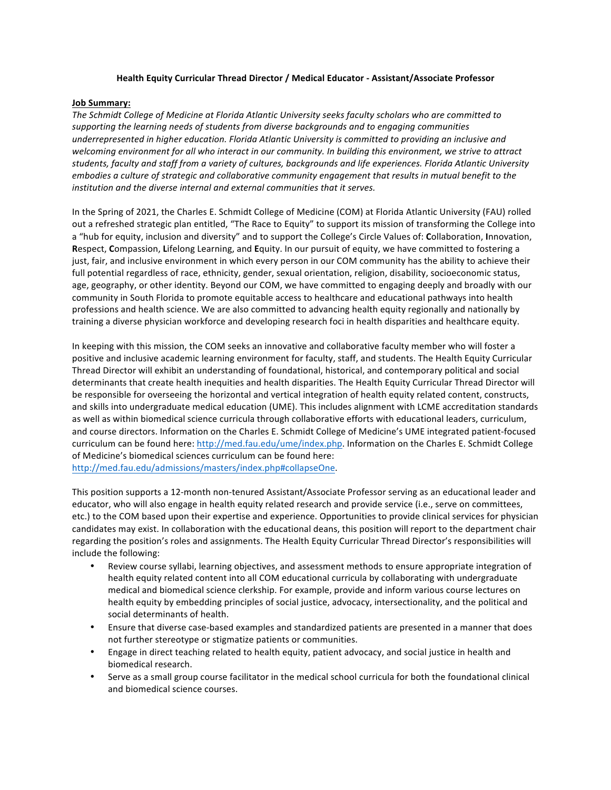## **Health Equity Curricular Thread Director / Medical Educator - Assistant/Associate Professor**

## **Job Summary:**

The Schmidt College of Medicine at Florida Atlantic University seeks faculty scholars who are committed to supporting the learning needs of students from diverse backgrounds and to engaging communities underrepresented in higher education. Florida Atlantic University is committed to providing an inclusive and welcoming environment for all who interact in our community. In building this environment, we strive to attract students, faculty and staff from a variety of cultures, backgrounds and life experiences. Florida Atlantic University *embodies a culture of strategic and collaborative community engagement that results in mutual benefit to the institution and the diverse internal and external communities that it serves.* 

In the Spring of 2021, the Charles E. Schmidt College of Medicine (COM) at Florida Atlantic University (FAU) rolled out a refreshed strategic plan entitled, "The Race to Equity" to support its mission of transforming the College into a "hub for equity, inclusion and diversity" and to support the College's Circle Values of: Collaboration, Innovation, **Respect, Compassion, Lifelong Learning, and Equity. In our pursuit of equity, we have committed to fostering a** just, fair, and inclusive environment in which every person in our COM community has the ability to achieve their full potential regardless of race, ethnicity, gender, sexual orientation, religion, disability, socioeconomic status, age, geography, or other identity. Beyond our COM, we have committed to engaging deeply and broadly with our community in South Florida to promote equitable access to healthcare and educational pathways into health professions and health science. We are also committed to advancing health equity regionally and nationally by training a diverse physician workforce and developing research foci in health disparities and healthcare equity.

In keeping with this mission, the COM seeks an innovative and collaborative faculty member who will foster a positive and inclusive academic learning environment for faculty, staff, and students. The Health Equity Curricular Thread Director will exhibit an understanding of foundational, historical, and contemporary political and social determinants that create health inequities and health disparities. The Health Equity Curricular Thread Director will be responsible for overseeing the horizontal and vertical integration of health equity related content, constructs, and skills into undergraduate medical education (UME). This includes alignment with LCME accreditation standards as well as within biomedical science curricula through collaborative efforts with educational leaders, curriculum, and course directors. Information on the Charles E. Schmidt College of Medicine's UME integrated patient-focused curriculum can be found here: http://med.fau.edu/ume/index.php. Information on the Charles E. Schmidt College of Medicine's biomedical sciences curriculum can be found here: http://med.fau.edu/admissions/masters/index.php#collapseOne.

This position supports a 12-month non-tenured Assistant/Associate Professor serving as an educational leader and educator, who will also engage in health equity related research and provide service (i.e., serve on committees, etc.) to the COM based upon their expertise and experience. Opportunities to provide clinical services for physician candidates may exist. In collaboration with the educational deans, this position will report to the department chair regarding the position's roles and assignments. The Health Equity Curricular Thread Director's responsibilities will include the following:

- Review course syllabi, learning objectives, and assessment methods to ensure appropriate integration of health equity related content into all COM educational curricula by collaborating with undergraduate medical and biomedical science clerkship. For example, provide and inform various course lectures on health equity by embedding principles of social justice, advocacy, intersectionality, and the political and social determinants of health.
- Ensure that diverse case-based examples and standardized patients are presented in a manner that does not further stereotype or stigmatize patients or communities.
- Engage in direct teaching related to health equity, patient advocacy, and social justice in health and biomedical research.
- Serve as a small group course facilitator in the medical school curricula for both the foundational clinical and biomedical science courses.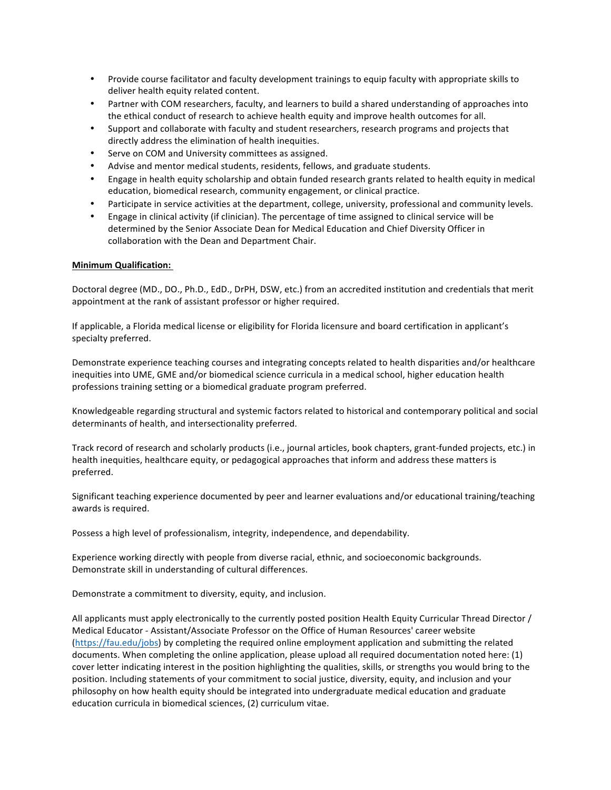- Provide course facilitator and faculty development trainings to equip faculty with appropriate skills to deliver health equity related content.
- Partner with COM researchers, faculty, and learners to build a shared understanding of approaches into the ethical conduct of research to achieve health equity and improve health outcomes for all.
- Support and collaborate with faculty and student researchers, research programs and projects that directly address the elimination of health inequities.
- Serve on COM and University committees as assigned.
- Advise and mentor medical students, residents, fellows, and graduate students.
- Engage in health equity scholarship and obtain funded research grants related to health equity in medical education, biomedical research, community engagement, or clinical practice.
- Participate in service activities at the department, college, university, professional and community levels.
- Engage in clinical activity (if clinician). The percentage of time assigned to clinical service will be determined by the Senior Associate Dean for Medical Education and Chief Diversity Officer in collaboration with the Dean and Department Chair.

## **Minimum Qualification:**

Doctoral degree (MD., DO., Ph.D., EdD., DrPH, DSW, etc.) from an accredited institution and credentials that merit appointment at the rank of assistant professor or higher required.

If applicable, a Florida medical license or eligibility for Florida licensure and board certification in applicant's specialty preferred.

Demonstrate experience teaching courses and integrating concepts related to health disparities and/or healthcare inequities into UME, GME and/or biomedical science curricula in a medical school, higher education health professions training setting or a biomedical graduate program preferred.

Knowledgeable regarding structural and systemic factors related to historical and contemporary political and social determinants of health, and intersectionality preferred.

Track record of research and scholarly products (i.e., journal articles, book chapters, grant-funded projects, etc.) in health inequities, healthcare equity, or pedagogical approaches that inform and address these matters is preferred.

Significant teaching experience documented by peer and learner evaluations and/or educational training/teaching awards is required.

Possess a high level of professionalism, integrity, independence, and dependability.

Experience working directly with people from diverse racial, ethnic, and socioeconomic backgrounds. Demonstrate skill in understanding of cultural differences.

Demonstrate a commitment to diversity, equity, and inclusion.

All applicants must apply electronically to the currently posted position Health Equity Curricular Thread Director  $/$ Medical Educator - Assistant/Associate Professor on the Office of Human Resources' career website (https://fau.edu/jobs) by completing the required online employment application and submitting the related documents. When completing the online application, please upload all required documentation noted here: (1) cover letter indicating interest in the position highlighting the qualities, skills, or strengths you would bring to the position. Including statements of your commitment to social justice, diversity, equity, and inclusion and your philosophy on how health equity should be integrated into undergraduate medical education and graduate education curricula in biomedical sciences, (2) curriculum vitae.